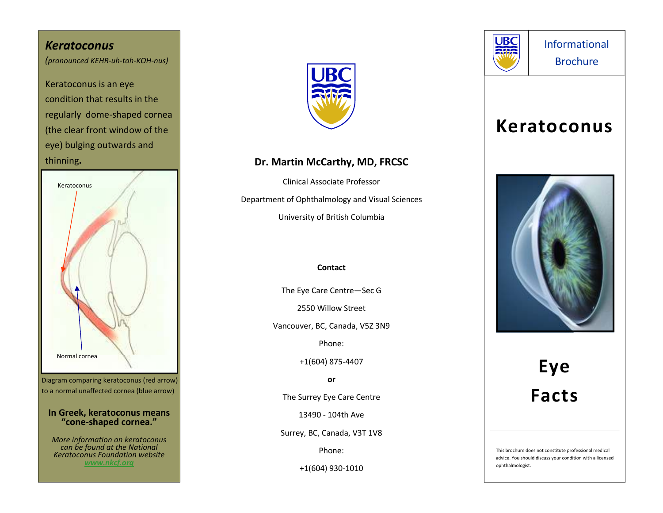### *Keratoconus(pronounced KEHR-uh-toh-KOH-nus)*

Keratoconus is an eye condition that results in the regularly dome-shaped cornea (the clear front window of the eye) bulging outwards and thinning**.** 



to a normal unaffected cornea (blue arrow)

#### **In Greek, keratoconus means "cone-shaped cornea."**

*More information on keratoconus can be found at the National Keratoconus Foundation website www.nkcf.org*



# **Dr. Martin McCarthy, MD, FRCSC**

Clinical Associate Professor Department of Ophthalmology and Visual Sciences University of British Columbia

#### **Contact**

The Eye Care Centre—Sec G

2550 Willow Street

Vancouver, BC, Canada, V5Z 3N9

Phone:

+1(604) 875-4407

**or** 

The Surrey Eye Care Centre

13490 - 104th Ave

Surrey, BC, Canada, V3T 1V8

Phone:

+1(604) 930-1010



Informational Brochure

# **Keratoconus**



# **Eye Facts**

This brochure does not constitute professional medical advice. You should discuss your condition with a licensed ophthalmologist.